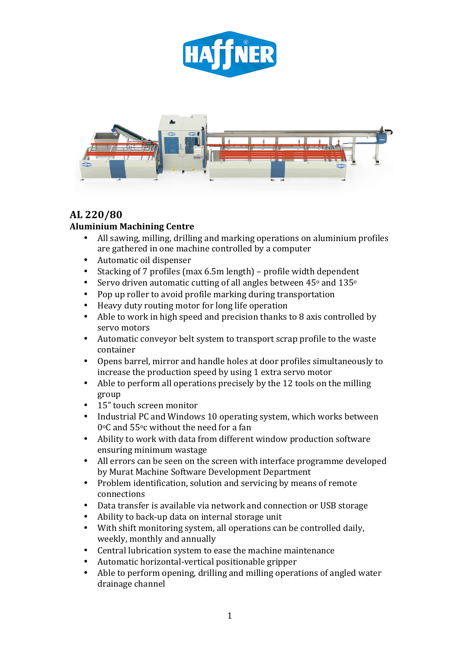



## **AL 220/80**

### **Aluminium Machining Centre**

- All sawing, milling, drilling and marking operations on aluminium profiles are gathered in one machine controlled by a computer
- Automatic oil dispenser
- Stacking of 7 profiles (max  $6.5m$  length) profile width dependent
- Servo driven automatic cutting of all angles between  $45^{\circ}$  and  $135^{\circ}$
- Pop up roller to avoid profile marking during transportation
- Heavy duty routing motor for long life operation
- Able to work in high speed and precision thanks to  $8$  axis controlled by servo motors
- Automatic conveyor belt system to transport scrap profile to the waste container
- Opens barrel, mirror and handle holes at door profiles simultaneously to increase the production speed by using 1 extra servo motor
- Able to perform all operations precisely by the 12 tools on the milling group
- 15" touch screen monitor
- Industrial PC and Windows 10 operating system, which works between  $0^{\circ}$ C and 55 $^{\circ}$ c without the need for a fan
- Ability to work with data from different window production software ensuring minimum wastage
- All errors can be seen on the screen with interface programme developed by Murat Machine Software Development Department
- Problem identification, solution and servicing by means of remote connections
- Data transfer is available via network and connection or USB storage
- Ability to back-up data on internal storage unit
- With shift monitoring system, all operations can be controlled daily, weekly, monthly and annually
- Central lubrication system to ease the machine maintenance
- Automatic horizontal-vertical positionable gripper
- Able to perform opening, drilling and milling operations of angled water drainage channel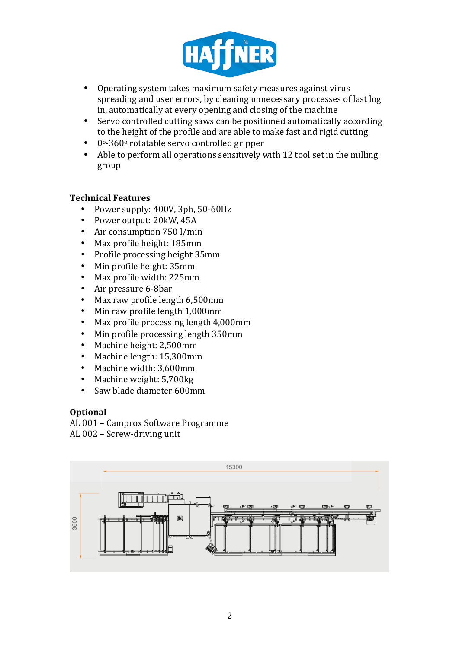

- Operating system takes maximum safety measures against virus spreading and user errors, by cleaning unnecessary processes of last log in, automatically at every opening and closing of the machine
- Servo controlled cutting saws can be positioned automatically according to the height of the profile and are able to make fast and rigid cutting
- $\cdot$  0°-360° rotatable servo controlled gripper
- Able to perform all operations sensitively with 12 tool set in the milling group

#### **Technical Features**

- Power supply:  $400V$ ,  $3ph$ ,  $50-60Hz$
- Power output: 20kW, 45A
- Air consumption 750 l/min
- Max profile height: 185mm
- Profile processing height 35mm
- Min profile height: 35mm
- Max profile width: 225mm
- Air pressure 6-8bar
- Max raw profile length 6,500mm
- Min raw profile length 1,000mm
- Max profile processing length 4,000mm
- Min profile processing length 350mm
- Machine height: 2,500mm
- Machine length: 15,300mm
- Machine width: 3,600mm
- Machine weight: 5,700kg
- Saw blade diameter 600mm

#### **Optional**

AL 001 - Camprox Software Programme AL 002 - Screw-driving unit